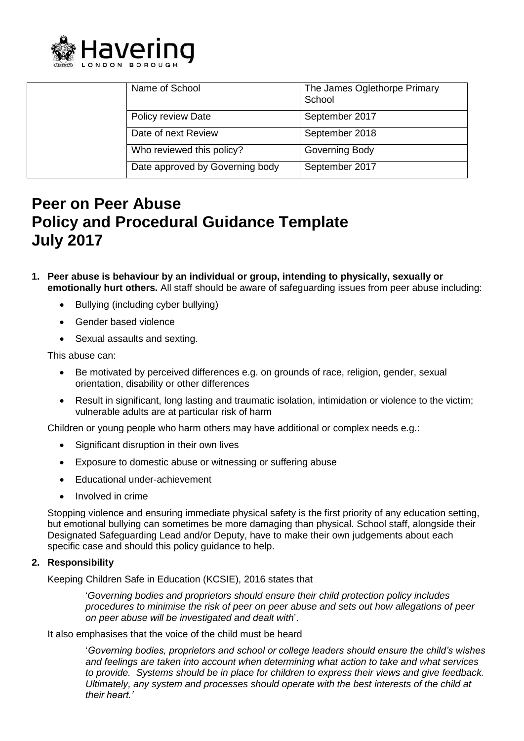

|  | Name of School                  | The James Oglethorpe Primary<br>School |
|--|---------------------------------|----------------------------------------|
|  | Policy review Date              | September 2017                         |
|  | Date of next Review             | September 2018                         |
|  | Who reviewed this policy?       | Governing Body                         |
|  | Date approved by Governing body | September 2017                         |

# **Peer on Peer Abuse Policy and Procedural Guidance Template July 2017**

- **1. Peer abuse is behaviour by an individual or group, intending to physically, sexually or emotionally hurt others.** All staff should be aware of safeguarding issues from peer abuse including:
	- Bullying (including cyber bullying)
	- Gender based violence
	- Sexual assaults and sexting.

This abuse can:

- Be motivated by perceived differences e.g. on grounds of race, religion, gender, sexual orientation, disability or other differences
- Result in significant, long lasting and traumatic isolation, intimidation or violence to the victim; vulnerable adults are at particular risk of harm

Children or young people who harm others may have additional or complex needs e.g.:

- Significant disruption in their own lives
- Exposure to domestic abuse or witnessing or suffering abuse
- Educational under-achievement
- Involved in crime

Stopping violence and ensuring immediate physical safety is the first priority of any education setting, but emotional bullying can sometimes be more damaging than physical. School staff, alongside their Designated Safeguarding Lead and/or Deputy, have to make their own judgements about each specific case and should this policy guidance to help.

## **2. Responsibility**

Keeping Children Safe in Education (KCSIE), 2016 states that

'*Governing bodies and proprietors should ensure their child protection policy includes procedures to minimise the risk of peer on peer abuse and sets out how allegations of peer on peer abuse will be investigated and dealt with*'.

It also emphasises that the voice of the child must be heard

'*Governing bodies, proprietors and school or college leaders should ensure the child's wishes and feelings are taken into account when determining what action to take and what services to provide. Systems should be in place for children to express their views and give feedback. Ultimately, any system and processes should operate with the best interests of the child at their heart.'*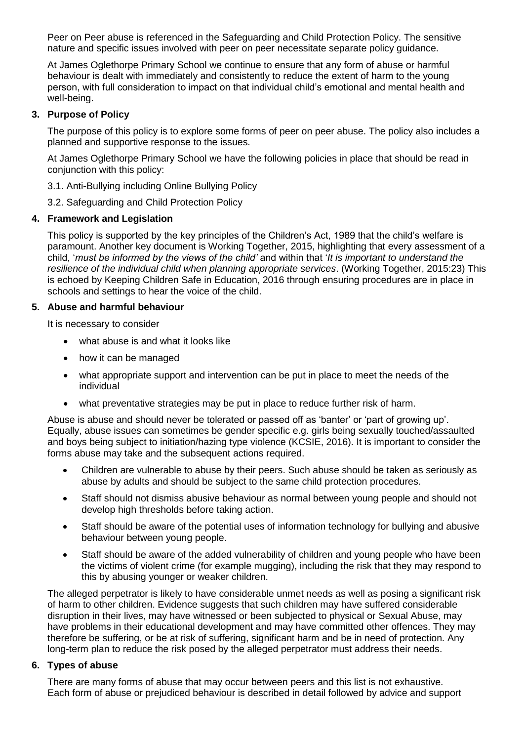Peer on Peer abuse is referenced in the Safeguarding and Child Protection Policy. The sensitive nature and specific issues involved with peer on peer necessitate separate policy guidance.

At James Oglethorpe Primary School we continue to ensure that any form of abuse or harmful behaviour is dealt with immediately and consistently to reduce the extent of harm to the young person, with full consideration to impact on that individual child's emotional and mental health and well-being.

# **3. Purpose of Policy**

The purpose of this policy is to explore some forms of peer on peer abuse. The policy also includes a planned and supportive response to the issues.

At James Oglethorpe Primary School we have the following policies in place that should be read in conjunction with this policy:

3.1. Anti-Bullying including Online Bullying Policy

3.2. Safeguarding and Child Protection Policy

# **4. Framework and Legislation**

This policy is supported by the key principles of the Children's Act, 1989 that the child's welfare is paramount. Another key document is Working Together, 2015, highlighting that every assessment of a child, '*must be informed by the views of the child'* and within that '*It is important to understand the resilience of the individual child when planning appropriate services*. (Working Together, 2015:23) This is echoed by Keeping Children Safe in Education, 2016 through ensuring procedures are in place in schools and settings to hear the voice of the child.

## **5. Abuse and harmful behaviour**

It is necessary to consider

- what abuse is and what it looks like
- how it can be managed
- what appropriate support and intervention can be put in place to meet the needs of the individual
- what preventative strategies may be put in place to reduce further risk of harm.

Abuse is abuse and should never be tolerated or passed off as 'banter' or 'part of growing up'. Equally, abuse issues can sometimes be gender specific e.g. girls being sexually touched/assaulted and boys being subject to initiation/hazing type violence (KCSIE, 2016). It is important to consider the forms abuse may take and the subsequent actions required.

- Children are vulnerable to abuse by their peers. Such abuse should be taken as seriously as abuse by adults and should be subject to the same child protection procedures.
- Staff should not dismiss abusive behaviour as normal between young people and should not develop high thresholds before taking action.
- Staff should be aware of the potential uses of information technology for bullying and abusive behaviour between young people.
- Staff should be aware of the added vulnerability of children and young people who have been the victims of violent crime (for example mugging), including the risk that they may respond to this by abusing younger or weaker children.

The alleged perpetrator is likely to have considerable unmet needs as well as posing a significant risk of harm to other children. Evidence suggests that such children may have suffered considerable disruption in their lives, may have witnessed or been subjected to physical or [Sexual Abuse,](http://trixresources.proceduresonline.com/nat_key/keywords/sexual_abuse.html) may have problems in their educational development and may have committed other offences. They may therefore be suffering, or be at risk of suffering, [significant harm](http://trixresources.proceduresonline.com/nat_key/keywords/significant_harm.html) and be in need of protection. Any long-term plan to reduce the risk posed by the alleged perpetrator must address their needs.

## **6. Types of abuse**

There are many forms of abuse that may occur between peers and this list is not exhaustive. Each form of abuse or prejudiced behaviour is described in detail followed by advice and support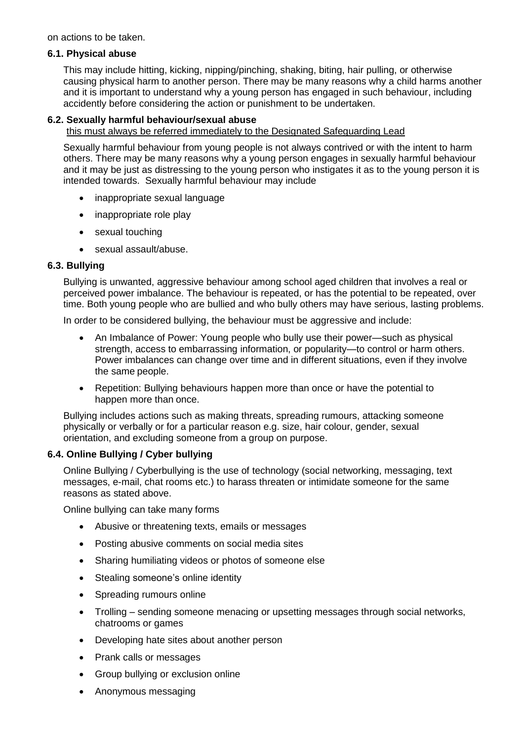on actions to be taken.

#### **6.1. Physical abuse**

This may include hitting, kicking, nipping/pinching, shaking, biting, hair pulling, or otherwise causing physical harm to another person. There may be many reasons why a child harms another and it is important to understand why a young person has engaged in such behaviour, including accidently before considering the action or punishment to be undertaken.

# **6.2. Sexually harmful behaviour/sexual abuse**

this must always be referred immediately to the Designated Safeguarding Lead

Sexually harmful behaviour from young people is not always contrived or with the intent to harm others. There may be many reasons why a young person engages in sexually harmful behaviour and it may be just as distressing to the young person who instigates it as to the young person it is intended towards. Sexually harmful behaviour may include

- inappropriate sexual language
- inappropriate role play
- sexual touching
- sexual assault/abuse.

## **6.3. Bullying**

Bullying is unwanted, aggressive behaviour among school aged children that involves a real or perceived power imbalance. The behaviour is repeated, or has the potential to be repeated, over time. Both young people who are bullied and who bully others may have serious, lasting problems.

In order to be considered bullying, the behaviour must be aggressive and include:

- An Imbalance of Power: Young people who bully use their power—such as physical strength, access to embarrassing information, or popularity—to control or harm others. Power imbalances can change over time and in different situations, even if they involve the same people.
- Repetition: Bullying behaviours happen more than once or have the potential to happen more than once.

Bullying includes actions such as making threats, spreading rumours, attacking someone physically or verbally or for a particular reason e.g. size, hair colour, gender, sexual orientation, and excluding someone from a group on purpose.

## **6.4. Online Bullying / Cyber bullying**

Online Bullying / Cyberbullying is the use of technology (social networking, messaging, text messages, e-mail, chat rooms etc.) to harass threaten or intimidate someone for the same reasons as stated above.

Online bullying can take many forms

- Abusive or threatening texts, emails or messages
- Posting abusive comments on social media sites
- Sharing humiliating videos or photos of someone else
- Stealing someone's online identity
- Spreading rumours online
- Trolling sending someone menacing or upsetting messages through social networks, chatrooms or games
- Developing hate sites about another person
- Prank calls or messages
- Group bullying or exclusion online
- Anonymous messaging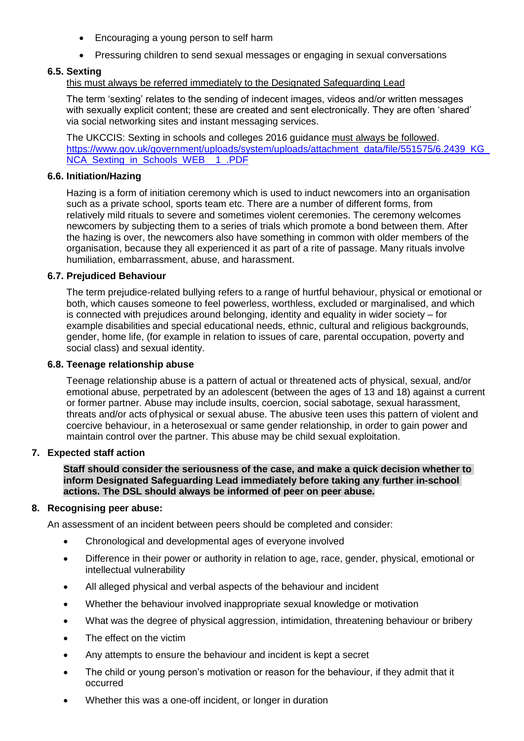- Encouraging a young person to self harm
- Pressuring children to send sexual messages or engaging in sexual conversations

# **6.5. Sexting**

# this must always be referred immediately to the Designated Safeguarding Lead

The term 'sexting' relates to the sending of indecent images, videos and/or written messages with sexually explicit content; these are created and sent electronically. They are often 'shared' via social networking sites and instant messaging services.

The UKCCIS: Sexting in schools and colleges 2016 guidance must always be followed. [https://www.gov.uk/government/uploads/system/uploads/attachment\\_data/file/551575/6.2439\\_KG\\_](https://www.gov.uk/government/uploads/system/uploads/attachment_data/file/551575/6.2439_KG_NCA_Sexting_in_Schools_WEB__1_.PDF) [NCA\\_Sexting\\_in\\_Schools\\_WEB\\_\\_1\\_.PDF](https://www.gov.uk/government/uploads/system/uploads/attachment_data/file/551575/6.2439_KG_NCA_Sexting_in_Schools_WEB__1_.PDF)

#### **6.6. Initiation/Hazing**

Hazing is a form of initiation ceremony which is used to induct newcomers into an organisation such as a private school, sports team etc. There are a number of different forms, from relatively mild rituals to severe and sometimes violent ceremonies. The ceremony welcomes newcomers by subjecting them to a series of trials which promote a bond between them. After the hazing is over, the newcomers also have something in common with older members of the organisation, because they all experienced it as part of a rite of passage. Many rituals involve humiliation, embarrassment, abuse, and harassment.

#### **6.7. Prejudiced Behaviour**

The term prejudice-related bullying refers to a range of hurtful behaviour, physical or emotional or both, which causes someone to feel powerless, worthless, excluded or marginalised, and which is connected with prejudices around belonging, identity and equality in wider society – for example disabilities and special educational needs, ethnic, cultural and religious backgrounds, gender, home life, (for example in relation to issues of care, parental occupation, poverty and social class) and sexual identity.

#### **6.8. Teenage relationship abuse**

Teenage relationship abuse is a pattern of actual or threatened acts of physical, sexual, and/or emotional abuse, perpetrated by an adolescent (between the ages of 13 and 18) against a current or former partner. Abuse may include insults, coercion, social sabotage, sexual harassment, threats and/or acts ofphysical or sexual abuse. The abusive teen uses this pattern of violent and coercive behaviour, in a heterosexual or same gender relationship, in order to gain power and maintain control over the partner. This abuse may be child sexual exploitation.

## **7. Expected staff action**

**Staff should consider the seriousness of the case, and make a quick decision whether to inform Designated Safeguarding Lead immediately before taking any further in-school actions. The DSL should always be informed of peer on peer abuse.**

#### **8. Recognising peer abuse:**

An assessment of an incident between peers should be completed and consider:

- Chronological and developmental ages of everyone involved
- Difference in their power or authority in relation to age, race, gender, physical, emotional or intellectual vulnerability
- All alleged physical and verbal aspects of the behaviour and incident
- Whether the behaviour involved inappropriate sexual knowledge or motivation
- What was the degree of physical aggression, intimidation, threatening behaviour or bribery
- The effect on the victim
- Any attempts to ensure the behaviour and incident is kept a secret
- The child or young person's motivation or reason for the behaviour, if they admit that it occurred
- Whether this was a one-off incident, or longer in duration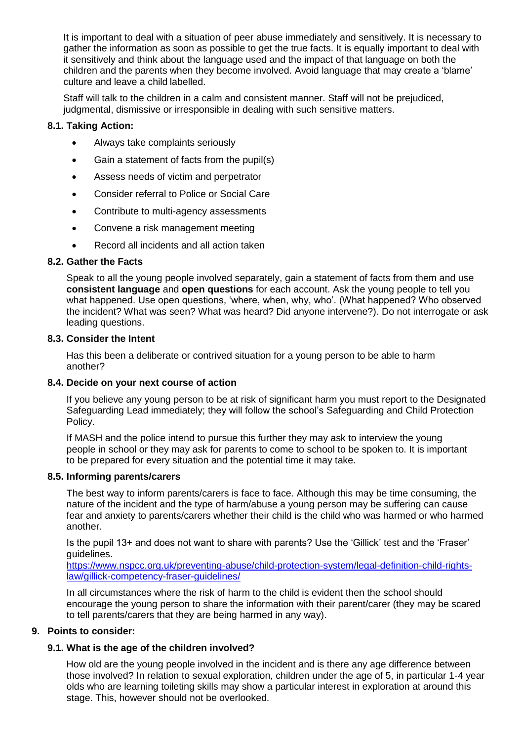It is important to deal with a situation of peer abuse immediately and sensitively. It is necessary to gather the information as soon as possible to get the true facts. It is equally important to deal with it sensitively and think about the language used and the impact of that language on both the children and the parents when they become involved. Avoid language that may create a 'blame' culture and leave a child labelled.

Staff will talk to the children in a calm and consistent manner. Staff will not be prejudiced, judgmental, dismissive or irresponsible in dealing with such sensitive matters.

# **8.1. Taking Action:**

- Always take complaints seriously
- Gain a statement of facts from the pupil(s)
- Assess needs of victim and perpetrator
- Consider referral to Police or Social Care
- Contribute to multi-agency assessments
- Convene a risk management meeting
- Record all incidents and all action taken

## **8.2. Gather the Facts**

Speak to all the young people involved separately, gain a statement of facts from them and use **consistent language** and **open questions** for each account. Ask the young people to tell you what happened. Use open questions, 'where, when, why, who'. (What happened? Who observed the incident? What was seen? What was heard? Did anyone intervene?). Do not interrogate or ask leading questions.

#### **8.3. Consider the Intent**

Has this been a deliberate or contrived situation for a young person to be able to harm another?

## **8.4. Decide on your next course of action**

If you believe any young person to be at risk of significant harm you must report to the Designated Safeguarding Lead immediately; they will follow the school's Safeguarding and Child Protection Policy.

If MASH and the police intend to pursue this further they may ask to interview the young people in school or they may ask for parents to come to school to be spoken to. It is important to be prepared for every situation and the potential time it may take.

#### **8.5. Informing parents/carers**

The best way to inform parents/carers is face to face. Although this may be time consuming, the nature of the incident and the type of harm/abuse a young person may be suffering can cause fear and anxiety to parents/carers whether their child is the child who was harmed or who harmed another.

Is the pupil 13+ and does not want to share with parents? Use the 'Gillick' test and the 'Fraser' guidelines.

[https://www.nspcc.org.uk/preventing-abuse/child-protection-system/legal-definition-child-rights](https://www.nspcc.org.uk/preventing-abuse/child-protection-system/legal-definition-child-rights-law/gillick-competency-fraser-guidelines/)[law/gillick-competency-fraser-guidelines/](https://www.nspcc.org.uk/preventing-abuse/child-protection-system/legal-definition-child-rights-law/gillick-competency-fraser-guidelines/)

In all circumstances where the risk of harm to the child is evident then the school should encourage the young person to share the information with their parent/carer (they may be scared to tell parents/carers that they are being harmed in any way).

## **9. Points to consider:**

## **9.1. What is the age of the children involved?**

How old are the young people involved in the incident and is there any age difference between those involved? In relation to sexual exploration, children under the age of 5, in particular 1-4 year olds who are learning toileting skills may show a particular interest in exploration at around this stage. This, however should not be overlooked.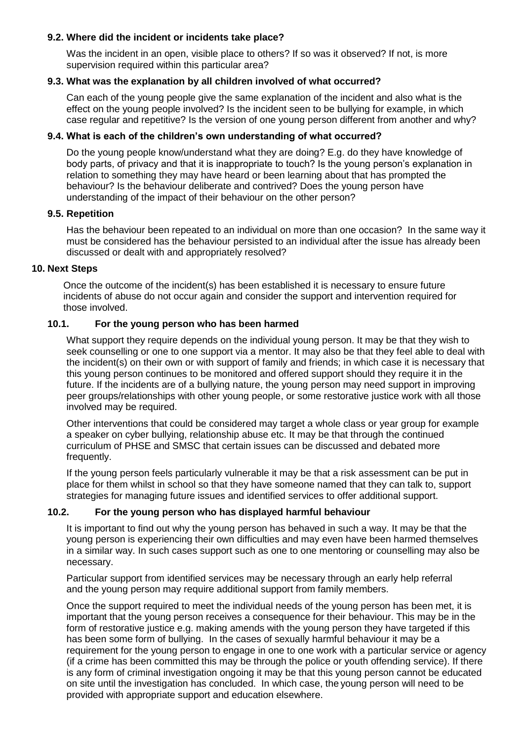# **9.2. Where did the incident or incidents take place?**

Was the incident in an open, visible place to others? If so was it observed? If not. is more supervision required within this particular area?

# **9.3. What was the explanation by all children involved of what occurred?**

Can each of the young people give the same explanation of the incident and also what is the effect on the young people involved? Is the incident seen to be bullying for example, in which case regular and repetitive? Is the version of one young person different from another and why?

# **9.4. What is each of the children's own understanding of what occurred?**

Do the young people know/understand what they are doing? E.g. do they have knowledge of body parts, of privacy and that it is inappropriate to touch? Is the young person's explanation in relation to something they may have heard or been learning about that has prompted the behaviour? Is the behaviour deliberate and contrived? Does the young person have understanding of the impact of their behaviour on the other person?

## **9.5. Repetition**

Has the behaviour been repeated to an individual on more than one occasion? In the same way it must be considered has the behaviour persisted to an individual after the issue has already been discussed or dealt with and appropriately resolved?

## **10. Next Steps**

Once the outcome of the incident(s) has been established it is necessary to ensure future incidents of abuse do not occur again and consider the support and intervention required for those involved.

## **10.1. For the young person who has been harmed**

What support they require depends on the individual young person. It may be that they wish to seek counselling or one to one support via a mentor. It may also be that they feel able to deal with the incident(s) on their own or with support of family and friends; in which case it is necessary that this young person continues to be monitored and offered support should they require it in the future. If the incidents are of a bullying nature, the young person may need support in improving peer groups/relationships with other young people, or some restorative justice work with all those involved may be required.

Other interventions that could be considered may target a whole class or year group for example a speaker on cyber bullying, relationship abuse etc. It may be that through the continued curriculum of PHSE and SMSC that certain issues can be discussed and debated more frequently.

If the young person feels particularly vulnerable it may be that a risk assessment can be put in place for them whilst in school so that they have someone named that they can talk to, support strategies for managing future issues and identified services to offer additional support.

## **10.2. For the young person who has displayed harmful behaviour**

It is important to find out why the young person has behaved in such a way. It may be that the young person is experiencing their own difficulties and may even have been harmed themselves in a similar way. In such cases support such as one to one mentoring or counselling may also be necessary.

Particular support from identified services may be necessary through an early help referral and the young person may require additional support from family members.

Once the support required to meet the individual needs of the young person has been met, it is important that the young person receives a consequence for their behaviour. This may be in the form of restorative justice e.g. making amends with the young person they have targeted if this has been some form of bullying. In the cases of sexually harmful behaviour it may be a requirement for the young person to engage in one to one work with a particular service or agency (if a crime has been committed this may be through the police or youth offending service). If there is any form of criminal investigation ongoing it may be that this young person cannot be educated on site until the investigation has concluded. In which case, the young person will need to be provided with appropriate support and education elsewhere.